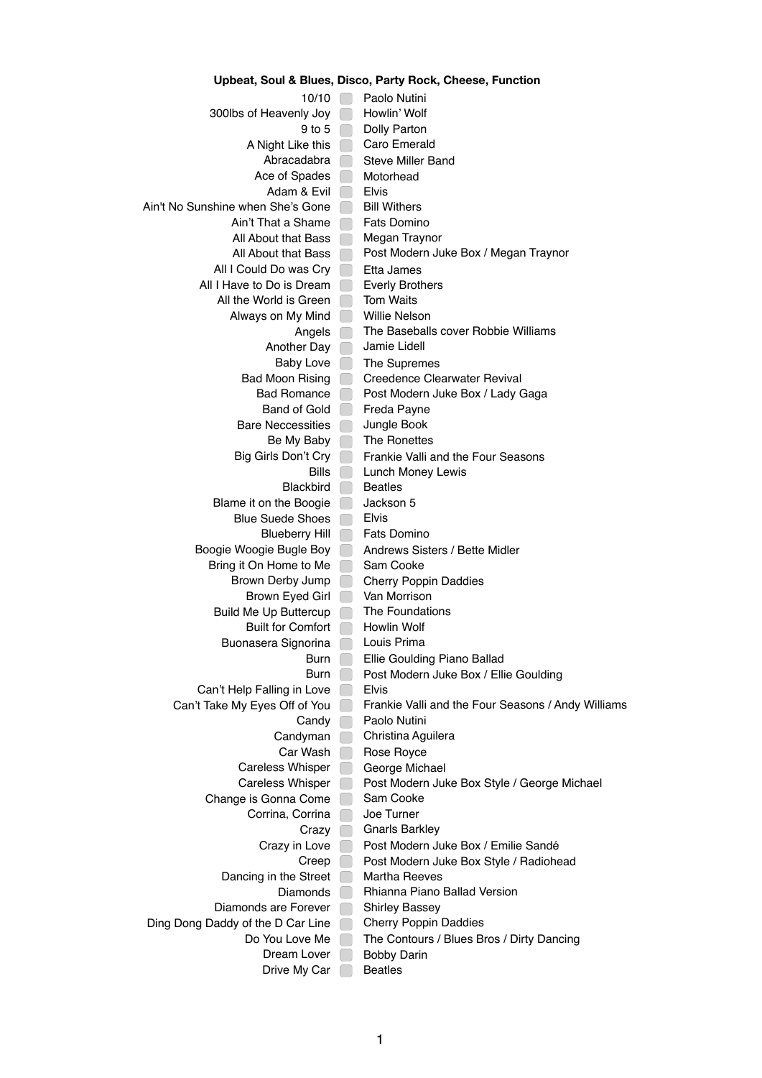| povalj ovar u pra                          |                          | $1000, 1000, 1000, 0000, 0000, 0000, 0000, 0000, 0000, 0000, 0000, 0000, 0000, 0000, 0000, 0000, 0000, 0000, 0000, 0000, 0000, 0000, 0000, 0000, 0000, 0000, 0000, 0000, 0000, 0000, 0000, 0000, 0000, 0000, 0000, 0000, 0000$ |  |  |
|--------------------------------------------|--------------------------|--------------------------------------------------------------------------------------------------------------------------------------------------------------------------------------------------------------------------------|--|--|
| 10/10                                      |                          | Paolo Nutini                                                                                                                                                                                                                   |  |  |
| 300lbs of Heavenly Joy                     |                          | Howlin' Wolf                                                                                                                                                                                                                   |  |  |
| 9 to 5                                     |                          | Dolly Parton                                                                                                                                                                                                                   |  |  |
| A Night Like this                          |                          | Caro Emerald                                                                                                                                                                                                                   |  |  |
| Abracadabra                                |                          | <b>Steve Miller Band</b>                                                                                                                                                                                                       |  |  |
| Ace of Spades                              |                          | Motorhead                                                                                                                                                                                                                      |  |  |
| Adam & Evil                                |                          | <b>Elvis</b>                                                                                                                                                                                                                   |  |  |
| Ain't No Sunshine when She's Gone          |                          | <b>Bill Withers</b>                                                                                                                                                                                                            |  |  |
| Ain't That a Shame                         |                          | <b>Fats Domino</b>                                                                                                                                                                                                             |  |  |
| All About that Bass                        |                          | Megan Traynor                                                                                                                                                                                                                  |  |  |
| All About that Bass                        | - 1                      | Post Modern Juke Box / Megan Traynor                                                                                                                                                                                           |  |  |
| All I Could Do was Cry                     | - 1                      | Etta James                                                                                                                                                                                                                     |  |  |
| All I Have to Do is Dream                  |                          | <b>Everly Brothers</b>                                                                                                                                                                                                         |  |  |
| All the World is Green                     | $\mathbb{R}^n$           | <b>Tom Waits</b>                                                                                                                                                                                                               |  |  |
| Always on My Mind                          | $\mathbb{R}^2$           | Willie Nelson                                                                                                                                                                                                                  |  |  |
| Angels                                     |                          | The Baseballs cover Robbie Williams                                                                                                                                                                                            |  |  |
| Another Day                                |                          | Jamie Lidell                                                                                                                                                                                                                   |  |  |
| <b>Baby Love</b><br><b>Bad Moon Rising</b> | $\sim$                   | The Supremes                                                                                                                                                                                                                   |  |  |
| <b>Bad Romance</b>                         | n l                      | Creedence Clearwater Revival                                                                                                                                                                                                   |  |  |
| <b>Band of Gold</b>                        | a s                      | Post Modern Juke Box / Lady Gaga<br>Freda Payne                                                                                                                                                                                |  |  |
| <b>Bare Neccessities</b>                   |                          | Jungle Book                                                                                                                                                                                                                    |  |  |
|                                            |                          | The Ronettes                                                                                                                                                                                                                   |  |  |
| Be My Baby<br>Big Girls Don't Cry          |                          | Frankie Valli and the Four Seasons                                                                                                                                                                                             |  |  |
| <b>Bills</b>                               |                          | Lunch Money Lewis                                                                                                                                                                                                              |  |  |
| <b>Blackbird</b>                           | $\overline{\phantom{a}}$ | <b>Beatles</b>                                                                                                                                                                                                                 |  |  |
| Blame it on the Boogie                     | l.                       | Jackson 5                                                                                                                                                                                                                      |  |  |
| <b>Blue Suede Shoes</b>                    | $\Box$                   | <b>Elvis</b>                                                                                                                                                                                                                   |  |  |
| <b>Blueberry Hill</b>                      | $\Box$                   | <b>Fats Domino</b>                                                                                                                                                                                                             |  |  |
| Boogie Woogie Bugle Boy                    | <b>Contract</b>          | Andrews Sisters / Bette Midler                                                                                                                                                                                                 |  |  |
| Bring it On Home to Me                     | $\Box$                   | Sam Cooke                                                                                                                                                                                                                      |  |  |
| Brown Derby Jump                           | <b>College</b>           | <b>Cherry Poppin Daddies</b>                                                                                                                                                                                                   |  |  |
| Brown Eyed Girl                            | ×                        | Van Morrison                                                                                                                                                                                                                   |  |  |
| <b>Build Me Up Buttercup</b>               |                          | The Foundations                                                                                                                                                                                                                |  |  |
| <b>Built for Comfort</b>                   |                          | Howlin Wolf                                                                                                                                                                                                                    |  |  |
| Buonasera Signorina                        |                          | Louis Prima                                                                                                                                                                                                                    |  |  |
| <b>Burn</b>                                |                          | Ellie Goulding Piano Ballad                                                                                                                                                                                                    |  |  |
| Burn                                       |                          | Post Modern Juke Box / Ellie Goulding                                                                                                                                                                                          |  |  |
| Can't Help Falling in Love                 |                          | <b>Elvis</b>                                                                                                                                                                                                                   |  |  |
| Can't Take My Eyes Off of You              |                          | Frankie Valli and the Four Seasons / Andy Williams                                                                                                                                                                             |  |  |
| Candy                                      |                          | Paolo Nutini                                                                                                                                                                                                                   |  |  |
| Candyman                                   |                          | Christina Aguilera                                                                                                                                                                                                             |  |  |
| Car Wash                                   |                          | Rose Royce                                                                                                                                                                                                                     |  |  |
| <b>Careless Whisper</b>                    |                          | George Michael                                                                                                                                                                                                                 |  |  |
| <b>Careless Whisper</b>                    |                          | Post Modern Juke Box Style / George Michael                                                                                                                                                                                    |  |  |
| Change is Gonna Come                       |                          | Sam Cooke                                                                                                                                                                                                                      |  |  |
| Corrina, Corrina                           |                          | Joe Turner                                                                                                                                                                                                                     |  |  |
| Crazy                                      |                          | <b>Gnarls Barkley</b>                                                                                                                                                                                                          |  |  |
| Crazy in Love                              |                          | Post Modern Juke Box / Emilie Sandé                                                                                                                                                                                            |  |  |
| Creep                                      |                          | Post Modern Juke Box Style / Radiohead                                                                                                                                                                                         |  |  |
| Dancing in the Street                      |                          | <b>Martha Reeves</b>                                                                                                                                                                                                           |  |  |
| <b>Diamonds</b>                            |                          | Rhianna Piano Ballad Version                                                                                                                                                                                                   |  |  |
| Diamonds are Forever                       |                          | <b>Shirley Bassey</b>                                                                                                                                                                                                          |  |  |
| Ding Dong Daddy of the D Car Line          |                          | <b>Cherry Poppin Daddies</b>                                                                                                                                                                                                   |  |  |
| Do You Love Me                             |                          | The Contours / Blues Bros / Dirty Dancing                                                                                                                                                                                      |  |  |
| Dream Lover                                |                          | <b>Bobby Darin</b>                                                                                                                                                                                                             |  |  |
| Drive My Car                               |                          | <b>Beatles</b>                                                                                                                                                                                                                 |  |  |

## **Upbeat, Soul & Blues, Disco, Party Rock, Cheese, Function**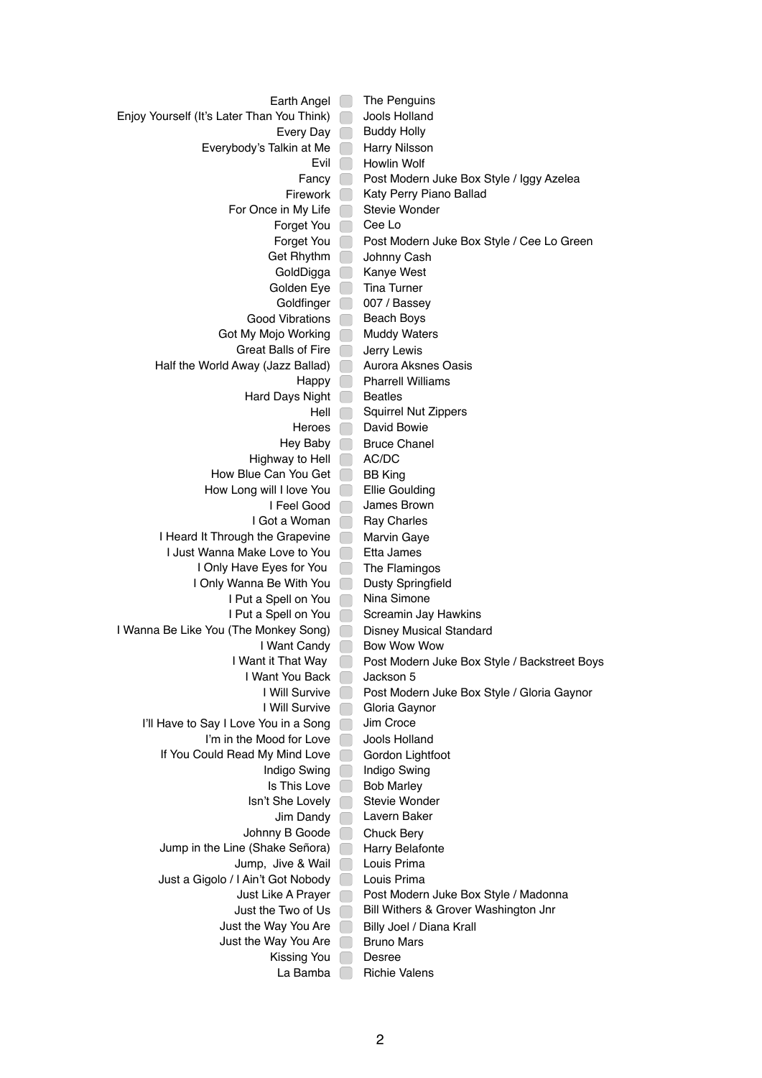Earth Angel **The Penguins** Enjoy Yourself (It's Later Than You Think) Jools Holland Every Day **Buddy Holly** Everybody's Talkin at Me **Harry Nilsson** Evil **Howlin Wolf** Fancy **Post Modern Juke Box Style / Iggy Azelea** Firework **Katy Perry Piano Ballad** For Once in My Life Stevie Wonder Forget You Cee Lo Forget You **Post Modern Juke Box Style / Cee Lo Green** Get Rhythm Johnny Cash GoldDigga **Kanye West** Golden Eye **Tina Turner** Goldfinger 007 / Bassey Good Vibrations **Beach Boys** Got My Mojo Working Muddy Waters Great Balls of Fire **Jerry Lewis** Half the World Away (Jazz Ballad) Aurora Aksnes Oasis Happy **Pharrell Williams** Hard Days Night **Beatles** Hell Squirrel Nut Zippers Heroes **David Bowie** Hey Baby **Bruce Chanel** Highway to Hell **AC/DC** How Blue Can You Get **BB** King How Long will I love You **Fillie Goulding** I Feel Good | James Brown I Got a Woman Ray Charles I Heard It Through the Grapevine Marvin Gaye I Just Wanna Make Love to You **Filly All State** James I Only Have Eyes for You **The Flamingos** I Only Wanna Be With You **Dusty Springfield** I Put a Spell on You Nina Simone I Put a Spell on You **Screamin Jay Hawkins** I Wanna Be Like You (The Monkey Song) Disney Musical Standard I Want Candy **Bow Wow Wow** I Want it That Way **Post Modern Juke Box Style / Backstreet Boys** I Want You Back Jackson 5 I Will Survive **Post Modern Juke Box Style / Gloria Gaynor** I Will Survive Gloria Gaynor I'll Have to Say I Love You in a Song Jim Croce I'm in the Mood for Love Jools Holland If You Could Read My Mind Love **Gordon Lightfoot** Indigo Swing | Indigo Swing Is This Love  $\Box$  Bob Marley Isn't She Lovely □ Stevie Wonder Jim Dandy **Quark** Lavern Baker Johnny B Goode Chuck Bery Jump in the Line (Shake Señora) Harry Belafonte Jump, Jive & Wail Louis Prima Just a Gigolo / I Ain't Got Nobody | Louis Prima Just Like A Prayer **Post Modern Juke Box Style / Madonna** Just the Two of Us **Bill Withers & Grover Washington Jnr** Just the Way You Are **Billy Joel / Diana Krall** Just the Way You Are  $\Box$  Bruno Mars Kissing You Desree La Bamba | Richie Valens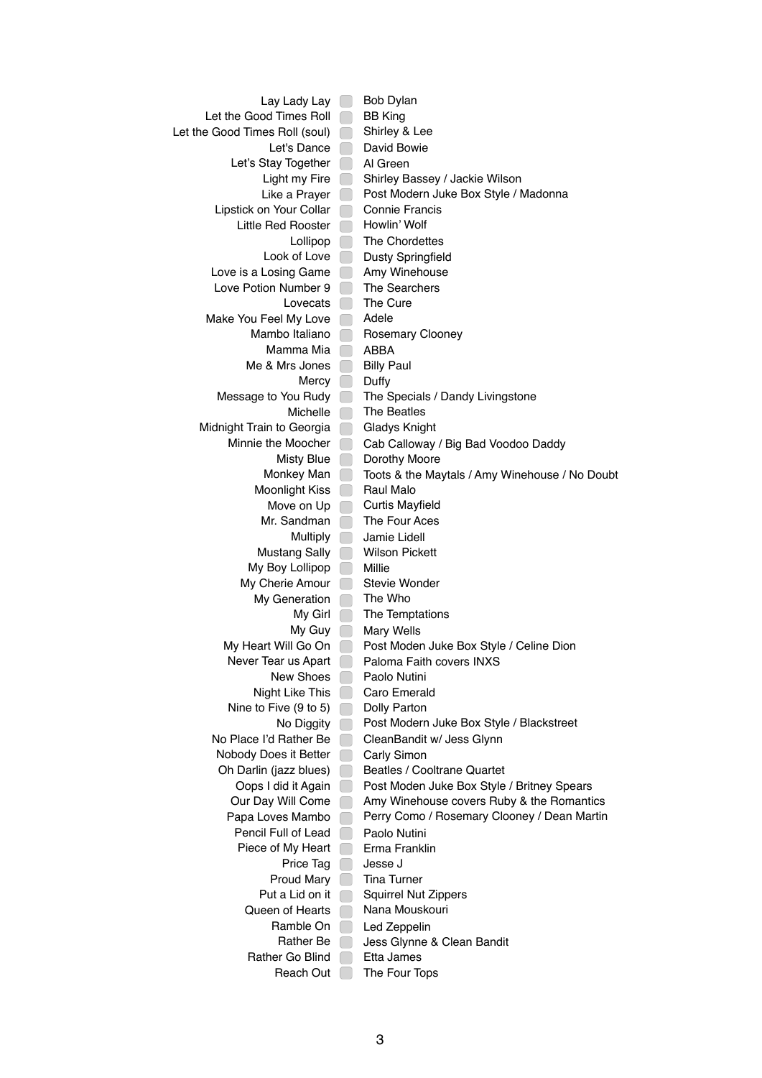Lay Lady Lay **Bob Dylan** Let the Good Times Roll **BB** King Let the Good Times Roll (soul) Shirley & Lee Let's Dance **David Bowie** Let's Stay Together Al Green Light my Fire Shirley Bassey / Jackie Wilson Like a Prayer **Post Modern Juke Box Style / Madonna** Lipstick on Your Collar Connie Francis Little Red Rooster **Howlin' Wolf** Lollipop **The Chordettes** Look of Love **Dusty Springfield** Love is a Losing Game Amy Winehouse Love Potion Number 9 The Searchers Lovecats  $\Box$  The Cure Make You Feel My Love Adele Mambo Italiano **Rosemary Clooney** Mamma Mia **ABBA** Me & Mrs Jones  $\Box$  Billy Paul Mercy Duffy Message to You Rudy **The Specials / Dandy Livingstone** Michelle **The Beatles** Midnight Train to Georgia **Gladys Knight** Minnie the Moocher Cab Calloway / Big Bad Voodoo Daddy Misty Blue **Dorothy Moore** Monkey Man **Toots & the Maytals / Amy Winehouse / No Doubt** Moonlight Kiss **Raul Malo** Move on Up Curtis Mayfield Mr. Sandman **The Four Aces** Multiply Jamie Lidell Mustang Sally **Nilson Pickett** My Boy Lollipop Millie My Cherie Amour **Stevie Wonder** My Generation The Who  $My$  Girl  $\Box$  The Temptations My Guy **Mary Wells** My Heart Will Go On **Post Moden Juke Box Style / Celine Dion** Never Tear us Apart **Paloma Faith covers INXS** New Shoes **Paolo Nutini** Night Like This Caro Emerald Nine to Five  $(9 \text{ to } 5)$  Dolly Parton No Diggity **Post Modern Juke Box Style / Blackstreet** No Place I'd Rather Be CleanBandit w/ Jess Glynn Nobody Does it Better Carly Simon Oh Darlin (jazz blues) **Beatles / Cooltrane Quartet** Oops I did it Again Post Moden Juke Box Style / Britney Spears Our Day Will Come **Amy Winehouse covers Ruby & the Romantics** Papa Loves Mambo **Perry Como / Rosemary Clooney / Dean Martin** Pencil Full of Lead Paolo Nutini Piece of My Heart **Erma Franklin** Price Tag Jesse J Proud Mary **Tina Turner** Put a Lid on it **S**quirrel Nut Zippers Queen of Hearts Nana Mouskouri Ramble On Led Zeppelin Rather Be Jess Glynne & Clean Bandit Rather Go Blind **Etta James** Reach Out **The Four Tops**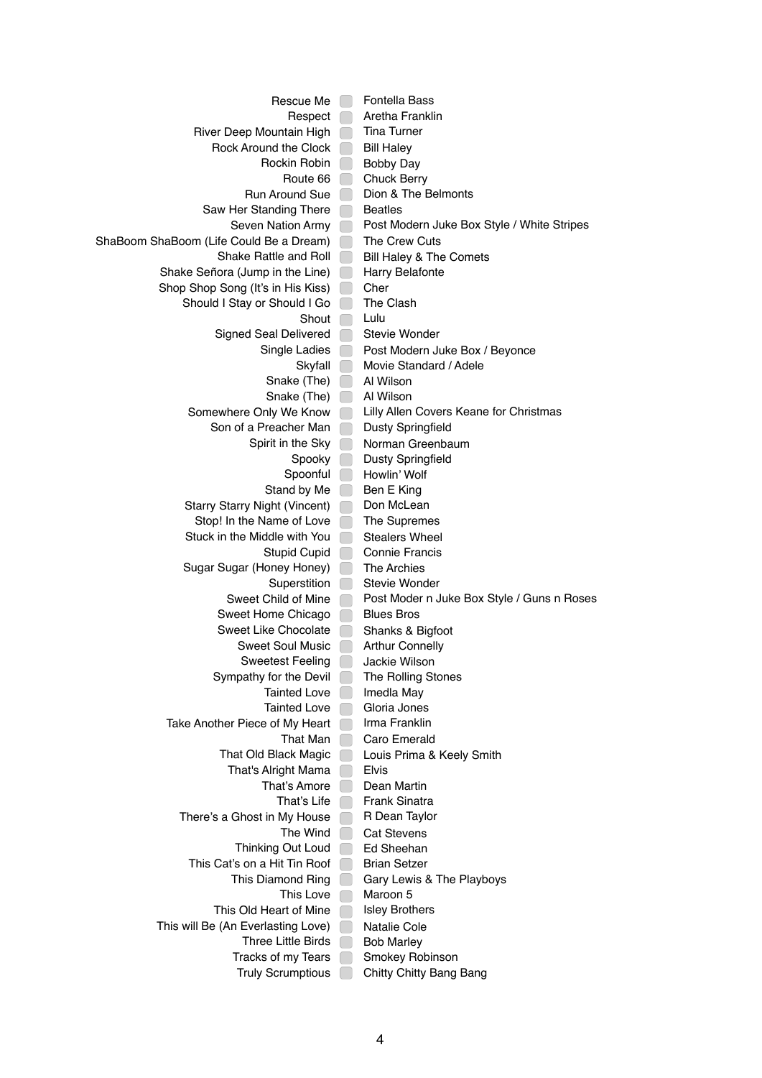Rescue Me **Fontella Bass** Respect **Aretha Franklin** River Deep Mountain High Tina Turner Rock Around the Clock  $\Box$  Bill Haley Rockin Robin **Bobby Day** Route 66 Chuck Berry Run Around Sue **Dion & The Belmonts** Saw Her Standing There **Beatles** Seven Nation Army **Post Modern Juke Box Style / White Stripes** ShaBoom ShaBoom (Life Could Be a Dream) The Crew Cuts Shake Rattle and Roll **Bill Haley & The Comets** Shake Señora (Jump in the Line) **Harry Belafonte** Shop Shop Song (It's in His Kiss) Cher Should I Stay or Should I Go **The Clash** Shout Lulu Signed Seal Delivered **Stevie Wonder** Single Ladies **Post Modern Juke Box / Beyonce** Skyfall Movie Standard / Adele Snake (The) Al Wilson Snake (The) Al Wilson Somewhere Only We Know | Lilly Allen Covers Keane for Christmas Son of a Preacher Man Dusty Springfield Spirit in the Sky Norman Greenbaum Spooky Dusty Springfield Spoonful Howlin' Wolf Stand by Me  $\Box$  Ben E King Starry Starry Night (Vincent) Don McLean Stop! In the Name of Love The Supremes Stuck in the Middle with You **Stealers Wheel** Stupid Cupid Connie Francis Sugar Sugar (Honey Honey) The Archies Superstition Stevie Wonder Sweet Child of Mine Post Moder n Juke Box Style / Guns n Roses Sweet Home Chicago **Blues Bros** Sweet Like Chocolate **Shanks & Bigfoot** Sweet Soul Music **Arthur Connelly** Sweetest Feeling **Jackie Wilson** Sympathy for the Devil **The Rolling Stones** Tainted Love | Imedla May Tainted Love | Gloria Jones Take Another Piece of My Heart | Irma Franklin That Man Caro Emerald That Old Black Magic | Louis Prima & Keely Smith That's Alright Mama  $\Box$  Elvis That's Amore Dean Martin That's Life **Frank Sinatra** There's a Ghost in My House  $\Box$  R Dean Taylor The Wind Cat Stevens Thinking Out Loud **Ed Sheehan** This Cat's on a Hit Tin Roof **Brian Setzer** This Diamond Ring Gary Lewis & The Playboys This Love  $\Box$  Maroon 5 This Old Heart of Mine  $\Box$  Isley Brothers This will Be (An Everlasting Love) Natalie Cole Three Little Birds  $\Box$  Bob Marley Tracks of my Tears **Subset Smokey Robinson** Truly Scrumptious **Chitty Chitty Bang Bang**